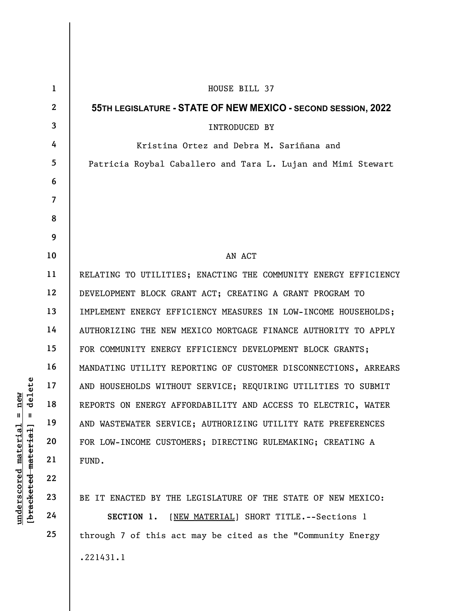| $\mathbf{1}$   | HOUSE BILL 37                                                   |
|----------------|-----------------------------------------------------------------|
| $\mathbf{2}$   | 55TH LEGISLATURE - STATE OF NEW MEXICO - SECOND SESSION, 2022   |
| $\mathbf{3}$   | INTRODUCED BY                                                   |
| 4              | Kristina Ortez and Debra M. Sariñana and                        |
| 5              | Patricia Roybal Caballero and Tara L. Lujan and Mimi Stewart    |
| 6              |                                                                 |
| $\overline{7}$ |                                                                 |
| 8              |                                                                 |
| 9              |                                                                 |
| 10             | AN ACT                                                          |
| 11             | RELATING TO UTILITIES; ENACTING THE COMMUNITY ENERGY EFFICIENCY |
| 12             | DEVELOPMENT BLOCK GRANT ACT; CREATING A GRANT PROGRAM TO        |
| 13             | IMPLEMENT ENERGY EFFICIENCY MEASURES IN LOW-INCOME HOUSEHOLDS;  |
| 14             | AUTHORIZING THE NEW MEXICO MORTGAGE FINANCE AUTHORITY TO APPLY  |
| 15             | FOR COMMUNITY ENERGY EFFICIENCY DEVELOPMENT BLOCK GRANTS;       |
| 16             | MANDATING UTILITY REPORTING OF CUSTOMER DISCONNECTIONS, ARREARS |
| 17             | AND HOUSEHOLDS WITHOUT SERVICE; REQUIRING UTILITIES TO SUBMIT   |
| 18             | REPORTS ON ENERGY AFFORDABILITY AND ACCESS TO ELECTRIC, WATER   |
| 19             | AND WASTEWATER SERVICE; AUTHORIZING UTILITY RATE PREFERENCES    |
| 20             | FOR LOW-INCOME CUSTOMERS; DIRECTING RULEMAKING; CREATING A      |
| 21             | FUND.                                                           |
| 22             |                                                                 |
| 23             | BE IT ENACTED BY THE LEGISLATURE OF THE STATE OF NEW MEXICO:    |
| 24             | [NEW MATERIAL] SHORT TITLE. -- Sections 1<br>SECTION 1.         |
| 25             | through 7 of this act may be cited as the "Community Energy     |
|                | .221431.1                                                       |
|                |                                                                 |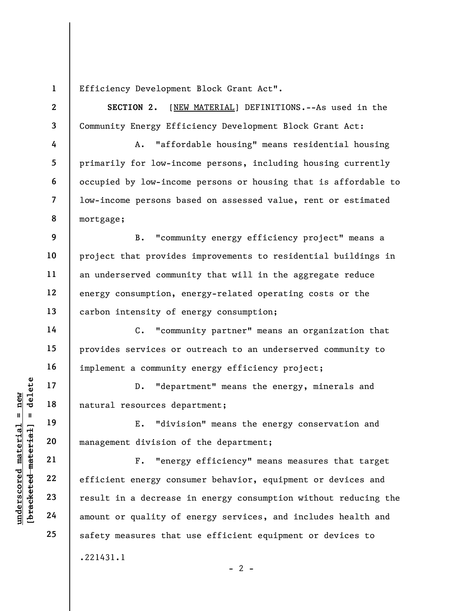Efficiency Development Block Grant Act".

SECTION 2. [NEW MATERIAL] DEFINITIONS.--As used in the Community Energy Efficiency Development Block Grant Act:

A. "affordable housing" means residential housing primarily for low-income persons, including housing currently occupied by low-income persons or housing that is affordable to low-income persons based on assessed value, rent or estimated mortgage;

9 10 11 12 13 B. "community energy efficiency project" means a project that provides improvements to residential buildings in an underserved community that will in the aggregate reduce energy consumption, energy-related operating costs or the carbon intensity of energy consumption;

C. "community partner" means an organization that provides services or outreach to an underserved community to implement a community energy efficiency project;

D. "department" means the energy, minerals and natural resources department;

E. "division" means the energy conservation and management division of the department;

underscores dependence material escores dependent division contract and the material material material material material material efficient energy constant and decrease amount or quality of F. "energy efficiency" means measures that target efficient energy consumer behavior, equipment or devices and result in a decrease in energy consumption without reducing the amount or quality of energy services, and includes health and safety measures that use efficient equipment or devices to .221431.1

1

2

3

4

5

6

7

8

14

15

16

17

18

19

20

21

22

23

24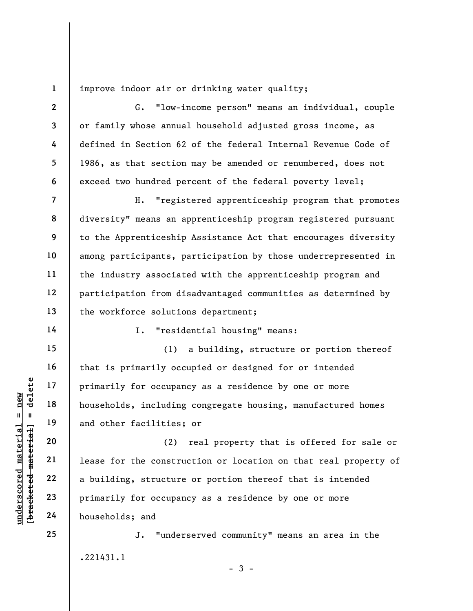1 improve indoor air or drinking water quality;

G. "low-income person" means an individual, couple or family whose annual household adjusted gross income, as defined in Section 62 of the federal Internal Revenue Code of 1986, as that section may be amended or renumbered, does not exceed two hundred percent of the federal poverty level;

H. "registered apprenticeship program that promotes diversity" means an apprenticeship program registered pursuant to the Apprenticeship Assistance Act that encourages diversity among participants, participation by those underrepresented in the industry associated with the apprenticeship program and participation from disadvantaged communities as determined by the workforce solutions department;

14

15

16

17

18

19

20

21

22

23

24

25

2

3

4

5

6

7

8

9

10

11

12

13

I. "residential housing" means:

(1) a building, structure or portion thereof that is primarily occupied or designed for or intended primarily for occupancy as a residence by one or more households, including congregate housing, manufactured homes and other facilities; or

underscored material = new [bracketed material] = delete (2) real property that is offered for sale or lease for the construction or location on that real property of a building, structure or portion thereof that is intended primarily for occupancy as a residence by one or more households; and

> J. "underserved community" means an area in the .221431.1

> > $-3 -$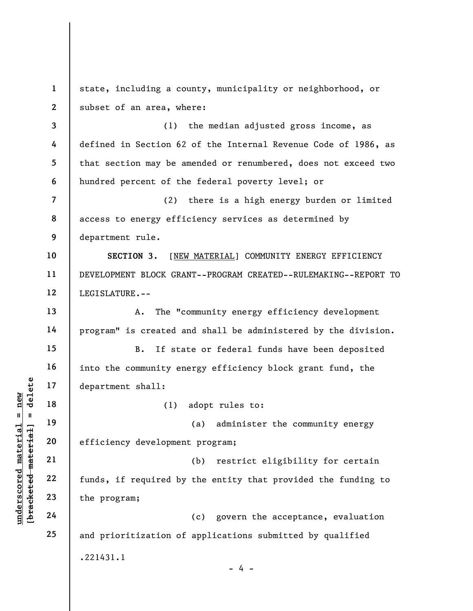understaat 17<br>
anderskiller (1)<br>
19<br>
department shall:<br>
19<br>
department shall:<br>
10<br>
18<br>
20<br>
efficiency developmen<br>
21<br>
22<br>
funds, if required by<br>
the program;<br>
24 1 2 3 4 5 6 7 8 9 10 11 12 13 14 15 16 17 18 19 20 21 22 23 24 25 state, including a county, municipality or neighborhood, or subset of an area, where: (1) the median adjusted gross income, as defined in Section 62 of the Internal Revenue Code of 1986, as that section may be amended or renumbered, does not exceed two hundred percent of the federal poverty level; or (2) there is a high energy burden or limited access to energy efficiency services as determined by department rule. SECTION 3. [NEW MATERIAL] COMMUNITY ENERGY EFFICIENCY DEVELOPMENT BLOCK GRANT--PROGRAM CREATED--RULEMAKING--REPORT TO LEGISLATURE.-- A. The "community energy efficiency development program" is created and shall be administered by the division. B. If state or federal funds have been deposited into the community energy efficiency block grant fund, the department shall: (1) adopt rules to: (a) administer the community energy efficiency development program; (b) restrict eligibility for certain funds, if required by the entity that provided the funding to the program; (c) govern the acceptance, evaluation and prioritization of applications submitted by qualified .221431.1  $- 4 -$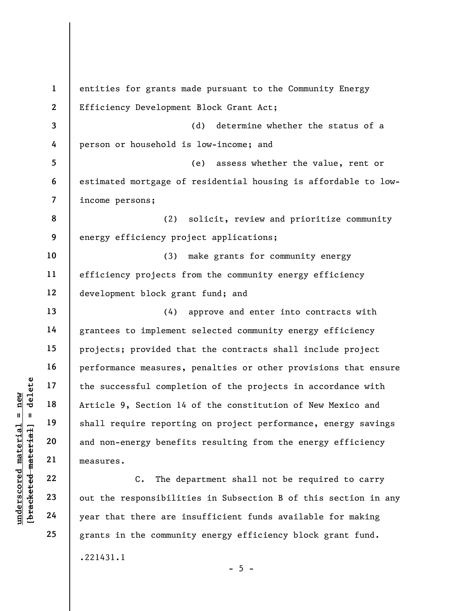understand material complements<br>  $\begin{array}{c|c|c|c} \n\text{u} & \text{u} & \text{u} & \text{u} & \text{u} & \text{u} & \text{u} & \text{u} & \text{u} & \text{u} & \text{u} & \text{u} & \text{u} & \text{u} & \text{u} & \text{u} & \text{u} & \text{u} & \text{u} & \text{u} & \text{u} & \text{u} & \text{u} & \text{u} & \text{u} & \text{u} & \text{u} & \text{u} & \text{u}$ 1 2 3 4 5 6 7 8 9 10 11 12 13 14 15 16 17 18 19 20 21 22 23 24 25 entities for grants made pursuant to the Community Energy Efficiency Development Block Grant Act; (d) determine whether the status of a person or household is low-income; and (e) assess whether the value, rent or estimated mortgage of residential housing is affordable to lowincome persons; (2) solicit, review and prioritize community energy efficiency project applications; (3) make grants for community energy efficiency projects from the community energy efficiency development block grant fund; and (4) approve and enter into contracts with grantees to implement selected community energy efficiency projects; provided that the contracts shall include project performance measures, penalties or other provisions that ensure the successful completion of the projects in accordance with Article 9, Section 14 of the constitution of New Mexico and shall require reporting on project performance, energy savings and non-energy benefits resulting from the energy efficiency measures. C. The department shall not be required to carry out the responsibilities in Subsection B of this section in any year that there are insufficient funds available for making grants in the community energy efficiency block grant fund.

.221431.1

 $- 5 -$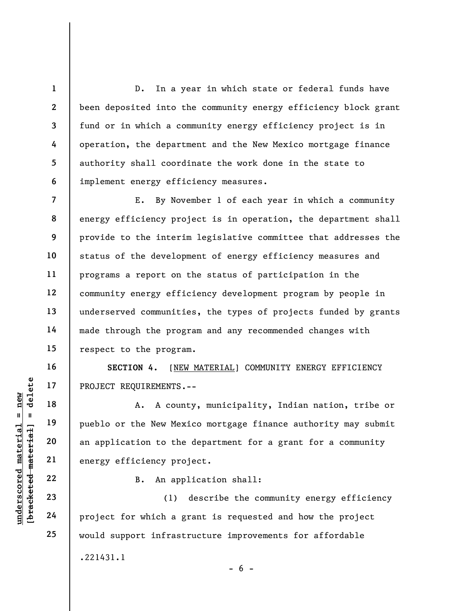D. In a year in which state or federal funds have been deposited into the community energy efficiency block grant fund or in which a community energy efficiency project is in operation, the department and the New Mexico mortgage finance authority shall coordinate the work done in the state to implement energy efficiency measures.

7 8 9 10 11 12 13 14 15 E. By November 1 of each year in which a community energy efficiency project is in operation, the department shall provide to the interim legislative committee that addresses the status of the development of energy efficiency measures and programs a report on the status of participation in the community energy efficiency development program by people in underserved communities, the types of projects funded by grants made through the program and any recommended changes with respect to the program.

SECTION 4. [NEW MATERIAL] COMMUNITY ENERGY EFFICIENCY PROJECT REQUIREMENTS.--

UNDECT REQUIREMENTS.<br>
17 PROJECT REQUIREMENTS.<br>
18 A. A coun<br>
pueblo or the New Mex<br>
20 an application to the<br>
energy efficiency pro<br>
22 B. An app<br>
23 (1)<br>
24 project for which a g A. A county, municipality, Indian nation, tribe or pueblo or the New Mexico mortgage finance authority may submit an application to the department for a grant for a community energy efficiency project.

B. An application shall:

(1) describe the community energy efficiency project for which a grant is requested and how the project would support infrastructure improvements for affordable .221431.1

1

2

3

4

5

6

16

17

18

19

20

21

22

23

24

25

 $- 6 -$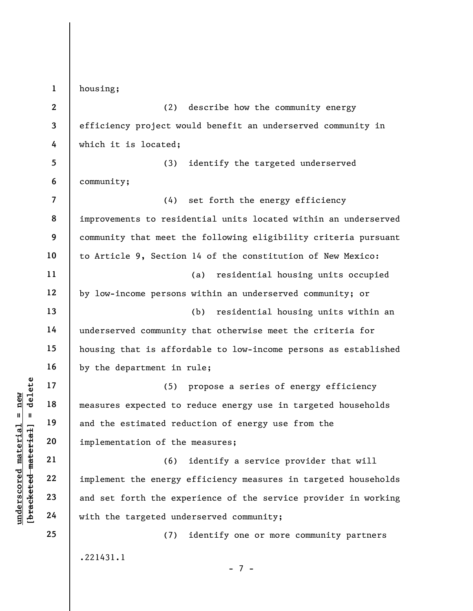understand material material material material expected to<br>
and the estimated red<br>
implementation of the<br>
21 (6)<br>
22 implement the energy<br>
23 and set forth the expected under<br>
24 with the targeted und 1 2 3 4 5 6 7 8 9 10 11 12 13 14 15 16 17 18 19 20 21 22 23 24 25 housing; (2) describe how the community energy efficiency project would benefit an underserved community in which it is located; (3) identify the targeted underserved community; (4) set forth the energy efficiency improvements to residential units located within an underserved community that meet the following eligibility criteria pursuant to Article 9, Section 14 of the constitution of New Mexico: (a) residential housing units occupied by low-income persons within an underserved community; or (b) residential housing units within an underserved community that otherwise meet the criteria for housing that is affordable to low-income persons as established by the department in rule; (5) propose a series of energy efficiency measures expected to reduce energy use in targeted households and the estimated reduction of energy use from the implementation of the measures; (6) identify a service provider that will implement the energy efficiency measures in targeted households and set forth the experience of the service provider in working with the targeted underserved community; (7) identify one or more community partners .221431.1

- 7 -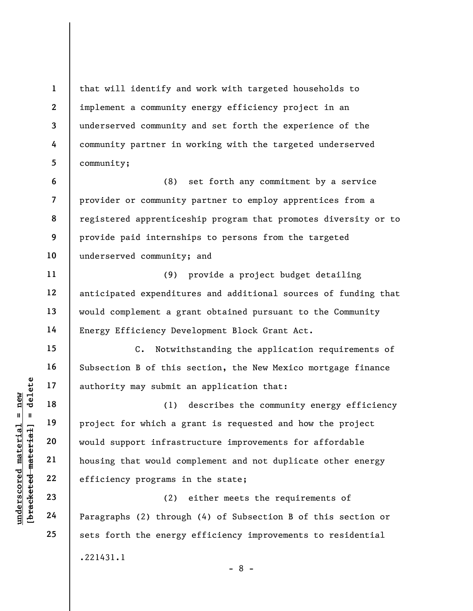1 2 3 4 5 6 7 8 that will identify and work with targeted households to implement a community energy efficiency project in an underserved community and set forth the experience of the community partner in working with the targeted underserved community; (8) set forth any commitment by a service provider or community partner to employ apprentices from a

registered apprenticeship program that promotes diversity or to provide paid internships to persons from the targeted underserved community; and

(9) provide a project budget detailing anticipated expenditures and additional sources of funding that would complement a grant obtained pursuant to the Community Energy Efficiency Development Block Grant Act.

C. Notwithstanding the application requirements of Subsection B of this section, the New Mexico mortgage finance authority may submit an application that:

understand material material and the set of the set of the set of the set of the set of the set of the set of the set of the set of the set of the set of the set of the set of the set of the set of the set of the set of th (1) describes the community energy efficiency project for which a grant is requested and how the project would support infrastructure improvements for affordable housing that would complement and not duplicate other energy efficiency programs in the state;

(2) either meets the requirements of Paragraphs (2) through (4) of Subsection B of this section or sets forth the energy efficiency improvements to residential .221431.1

9

10

11

12

13

14

15

16

17

18

19

20

21

22

23

24

25

- 8 -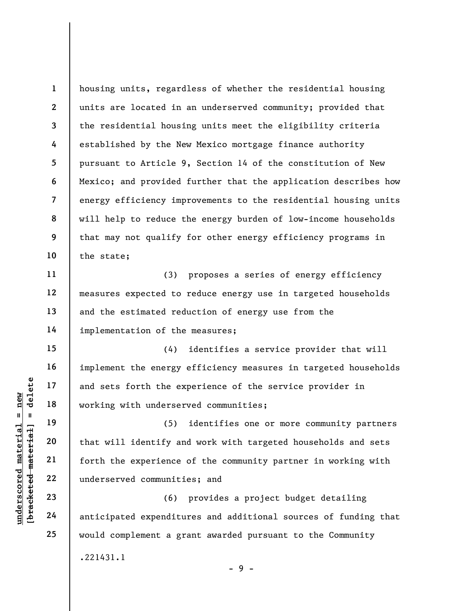1 2 3 4 5 6 7 8 9 10 housing units, regardless of whether the residential housing units are located in an underserved community; provided that the residential housing units meet the eligibility criteria established by the New Mexico mortgage finance authority pursuant to Article 9, Section 14 of the constitution of New Mexico; and provided further that the application describes how energy efficiency improvements to the residential housing units will help to reduce the energy burden of low-income households that may not qualify for other energy efficiency programs in the state;

(3) proposes a series of energy efficiency measures expected to reduce energy use in targeted households and the estimated reduction of energy use from the implementation of the measures;

(4) identifies a service provider that will implement the energy efficiency measures in targeted households and sets forth the experience of the service provider in working with underserved communities;

understand material and sets forth the experience<br>
working with underser<br>
working with underser<br>
(5)<br>
that will identify an<br>
deleter the experience<br>
22<br>
underserved communiti<br>
23<br>
24<br>
anticipated expenditu (5) identifies one or more community partners that will identify and work with targeted households and sets forth the experience of the community partner in working with underserved communities; and

(6) provides a project budget detailing anticipated expenditures and additional sources of funding that would complement a grant awarded pursuant to the Community .221431.1

11

12

13

14

15

16

17

18

19

20

21

22

23

24

25

 $-9 -$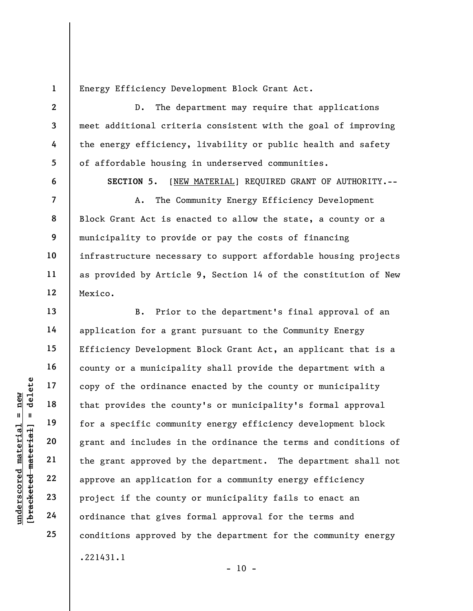Energy Efficiency Development Block Grant Act.

D. The department may require that applications meet additional criteria consistent with the goal of improving the energy efficiency, livability or public health and safety of affordable housing in underserved communities.

6

1

2

3

4

5

7

8

9

10

11

12

13

14

15

16

17

18

19

20

21

22

23

24

25

SECTION 5. [NEW MATERIAL] REQUIRED GRANT OF AUTHORITY.--

A. The Community Energy Efficiency Development Block Grant Act is enacted to allow the state, a county or a municipality to provide or pay the costs of financing infrastructure necessary to support affordable housing projects as provided by Article 9, Section 14 of the constitution of New Mexico.

underscored material end and that provides the counterpart of the ordinance<br>
and that provides the counterpart of the community<br>
and includes in<br>
the grant and includes in<br>
the grant approved by<br>
approve an application<br>
23 B. Prior to the department's final approval of an application for a grant pursuant to the Community Energy Efficiency Development Block Grant Act, an applicant that is a county or a municipality shall provide the department with a copy of the ordinance enacted by the county or municipality that provides the county's or municipality's formal approval for a specific community energy efficiency development block grant and includes in the ordinance the terms and conditions of the grant approved by the department. The department shall not approve an application for a community energy efficiency project if the county or municipality fails to enact an ordinance that gives formal approval for the terms and conditions approved by the department for the community energy .221431.1

 $- 10 -$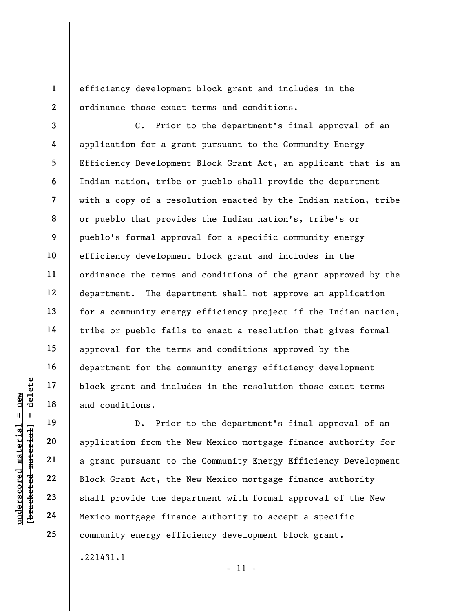efficiency development block grant and includes in the ordinance those exact terms and conditions.

8 9 10 12 14 18 C. Prior to the department's final approval of an application for a grant pursuant to the Community Energy Efficiency Development Block Grant Act, an applicant that is an Indian nation, tribe or pueblo shall provide the department with a copy of a resolution enacted by the Indian nation, tribe or pueblo that provides the Indian nation's, tribe's or pueblo's formal approval for a specific community energy efficiency development block grant and includes in the ordinance the terms and conditions of the grant approved by the department. The department shall not approve an application for a community energy efficiency project if the Indian nation, tribe or pueblo fails to enact a resolution that gives formal approval for the terms and conditions approved by the department for the community energy efficiency development block grant and includes in the resolution those exact terms and conditions.

1

2

3

4

5

6

7

11

13

15

16

17

19

20

21

22

23

24

25

understand included material of the same of the same of the same of the same of the same of the same of the same of the same of the same of the same of the same of the same of the same of the same of the same of the same o D. Prior to the department's final approval of an application from the New Mexico mortgage finance authority for a grant pursuant to the Community Energy Efficiency Development Block Grant Act, the New Mexico mortgage finance authority shall provide the department with formal approval of the New Mexico mortgage finance authority to accept a specific community energy efficiency development block grant. .221431.1

- 11 -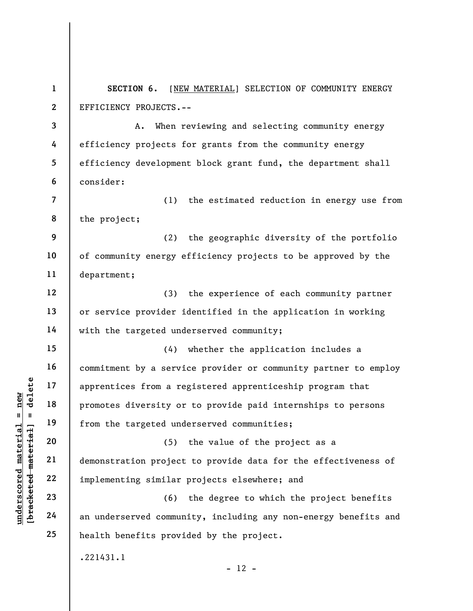1 2 SECTION 6. [NEW MATERIAL] SELECTION OF COMMUNITY ENERGY EFFICIENCY PROJECTS.--

3 4 5 6 A. When reviewing and selecting community energy efficiency projects for grants from the community energy efficiency development block grant fund, the department shall consider:

7 8 (1) the estimated reduction in energy use from the project;

9 10 11 (2) the geographic diversity of the portfolio of community energy efficiency projects to be approved by the department;

(3) the experience of each community partner or service provider identified in the application in working with the targeted underserved community;

underscored material end of the targeted und<br>
understand material of the targeted und<br>
understand 20<br>
understand 22<br>
understand 19<br>
22<br>
understand materials implementing similar<br>
24<br>
an underserved commun<br>
24 (4) whether the application includes a commitment by a service provider or community partner to employ apprentices from a registered apprenticeship program that promotes diversity or to provide paid internships to persons from the targeted underserved communities;

(5) the value of the project as a demonstration project to provide data for the effectiveness of implementing similar projects elsewhere; and

(6) the degree to which the project benefits an underserved community, including any non-energy benefits and health benefits provided by the project.

.221431.1

 $- 12 -$ 

12

13

14

15

16

17

18

19

20

21

22

23

24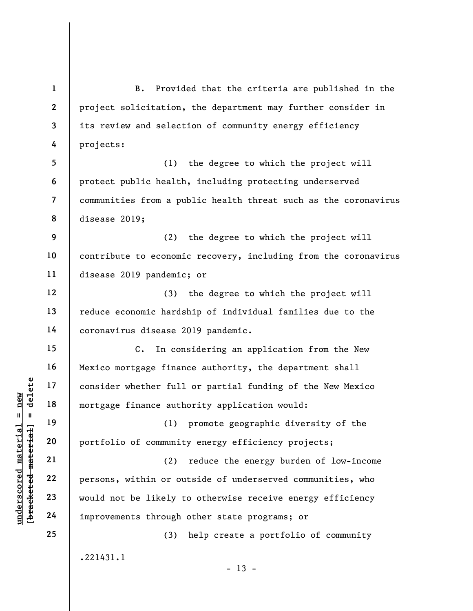under the ther full<br>
and the state of consider whether full<br>
mortgage finance auth<br>
and 19<br>
20<br>
portfolio of communit<br>
21<br>
22<br>
23<br>
would not be likely t<br>
24<br>
improvements through 1 2 3 4 5 6 7 8 9 10 11 12 13 14 15 16 17 18 19 20 21 22 23 24 25 B. Provided that the criteria are published in the project solicitation, the department may further consider in its review and selection of community energy efficiency projects: (1) the degree to which the project will protect public health, including protecting underserved communities from a public health threat such as the coronavirus disease 2019; (2) the degree to which the project will contribute to economic recovery, including from the coronavirus disease 2019 pandemic; or (3) the degree to which the project will reduce economic hardship of individual families due to the coronavirus disease 2019 pandemic. C. In considering an application from the New Mexico mortgage finance authority, the department shall consider whether full or partial funding of the New Mexico mortgage finance authority application would: (1) promote geographic diversity of the portfolio of community energy efficiency projects; (2) reduce the energy burden of low-income persons, within or outside of underserved communities, who would not be likely to otherwise receive energy efficiency improvements through other state programs; or (3) help create a portfolio of community .221431.1  $- 13 -$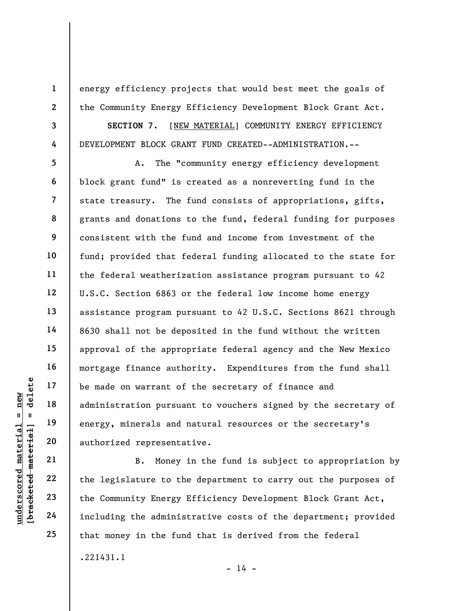energy efficiency projects that would best meet the goals of the Community Energy Efficiency Development Block Grant Act.

3

1

2

4

5

6

7

8

9

10

11

12

13

14

15

16

17

18

19

20

21

22

23

24

25

SECTION 7. [NEW MATERIAL] COMMUNITY ENERGY EFFICIENCY DEVELOPMENT BLOCK GRANT FUND CREATED--ADMINISTRATION.--

understand material species of the definition of the material of administration pursua<br>
energy, minerals and energy, minerals and authorized represents<br>
allows 22<br>
23<br>
24<br>
24<br>
24<br>
29<br>
24<br>
29<br>
29<br>
29<br>
29<br>
29<br>
29<br>
29<br>
29<br>
29 A. The "community energy efficiency development block grant fund" is created as a nonreverting fund in the state treasury. The fund consists of appropriations, gifts, grants and donations to the fund, federal funding for purposes consistent with the fund and income from investment of the fund; provided that federal funding allocated to the state for the federal weatherization assistance program pursuant to 42 U.S.C. Section 6863 or the federal low income home energy assistance program pursuant to 42 U.S.C. Sections 8621 through 8630 shall not be deposited in the fund without the written approval of the appropriate federal agency and the New Mexico mortgage finance authority. Expenditures from the fund shall be made on warrant of the secretary of finance and administration pursuant to vouchers signed by the secretary of energy, minerals and natural resources or the secretary's authorized representative.

B. Money in the fund is subject to appropriation by the legislature to the department to carry out the purposes of the Community Energy Efficiency Development Block Grant Act, including the administrative costs of the department; provided that money in the fund that is derived from the federal .221431.1

 $- 14 -$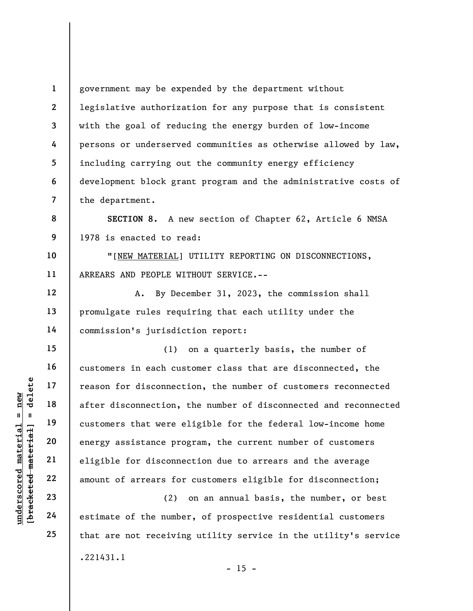1 2 3 4 5 6 7 government may be expended by the department without legislative authorization for any purpose that is consistent with the goal of reducing the energy burden of low-income persons or underserved communities as otherwise allowed by law, including carrying out the community energy efficiency development block grant program and the administrative costs of the department.

8 9 SECTION 8. A new section of Chapter 62, Article 6 NMSA 1978 is enacted to read:

"[NEW MATERIAL] UTILITY REPORTING ON DISCONNECTIONS, ARREARS AND PEOPLE WITHOUT SERVICE.--

A. By December 31, 2023, the commission shall promulgate rules requiring that each utility under the commission's jurisdiction report:

underscored material = new [bracketed material] = delete (1) on a quarterly basis, the number of customers in each customer class that are disconnected, the reason for disconnection, the number of customers reconnected after disconnection, the number of disconnected and reconnected customers that were eligible for the federal low-income home energy assistance program, the current number of customers eligible for disconnection due to arrears and the average amount of arrears for customers eligible for disconnection;

(2) on an annual basis, the number, or best estimate of the number, of prospective residential customers that are not receiving utility service in the utility's service .221431.1  $- 15 -$ 

24 25

10

11

12

13

14

15

16

17

18

19

20

21

22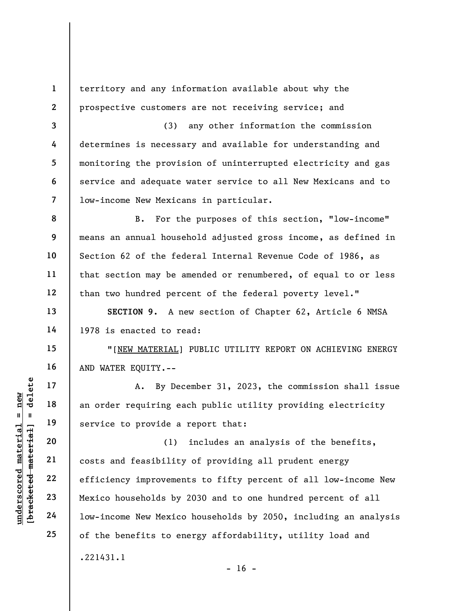1 2

3

4

5

6

7

8

9

10

11

12

13

14

15

16

17

18

19

20

21

22

23

24

25

territory and any information available about why the prospective customers are not receiving service; and

(3) any other information the commission determines is necessary and available for understanding and monitoring the provision of uninterrupted electricity and gas service and adequate water service to all New Mexicans and to low-income New Mexicans in particular.

B. For the purposes of this section, "low-income" means an annual household adjusted gross income, as defined in Section 62 of the federal Internal Revenue Code of 1986, as that section may be amended or renumbered, of equal to or less than two hundred percent of the federal poverty level."

SECTION 9. A new section of Chapter 62, Article 6 NMSA 1978 is enacted to read:

"[NEW MATERIAL] PUBLIC UTILITY REPORT ON ACHIEVING ENERGY AND WATER EQUITY.--

A. By December 31, 2023, the commission shall issue an order requiring each public utility providing electricity service to provide a report that:

underscored material = new [bracketed material] = delete (1) includes an analysis of the benefits, costs and feasibility of providing all prudent energy efficiency improvements to fifty percent of all low-income New Mexico households by 2030 and to one hundred percent of all low-income New Mexico households by 2050, including an analysis of the benefits to energy affordability, utility load and .221431.1

 $- 16 -$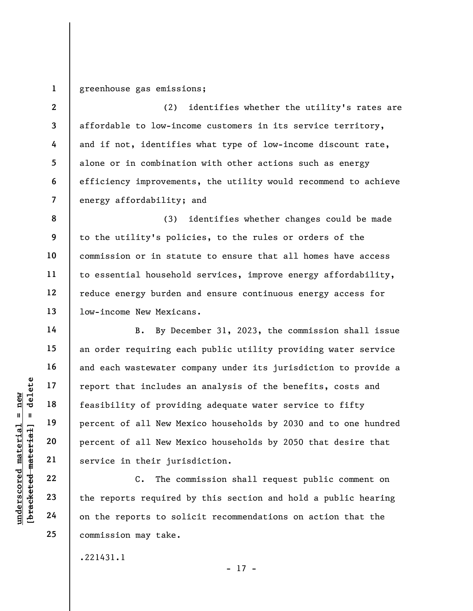1 greenhouse gas emissions;

2 3 4 5 6 7 (2) identifies whether the utility's rates are affordable to low-income customers in its service territory, and if not, identifies what type of low-income discount rate, alone or in combination with other actions such as energy efficiency improvements, the utility would recommend to achieve energy affordability; and

8 9 10 11 12 13 (3) identifies whether changes could be made to the utility's policies, to the rules or orders of the commission or in statute to ensure that all homes have access to essential household services, improve energy affordability, reduce energy burden and ensure continuous energy access for low-income New Mexicans.

understand material material species to solution of the set of all New Mercent of all New Mercent of all New Mercent of all New Mercent of all New Mercent of all New Mercent of all New Mercent of all New Mercent of all New B. By December 31, 2023, the commission shall issue an order requiring each public utility providing water service and each wastewater company under its jurisdiction to provide a report that includes an analysis of the benefits, costs and feasibility of providing adequate water service to fifty percent of all New Mexico households by 2030 and to one hundred percent of all New Mexico households by 2050 that desire that service in their jurisdiction.

C. The commission shall request public comment on the reports required by this section and hold a public hearing on the reports to solicit recommendations on action that the commission may take.

.221431.1

- 17 -

14

15

16

17

18

19

20

21

22

23

24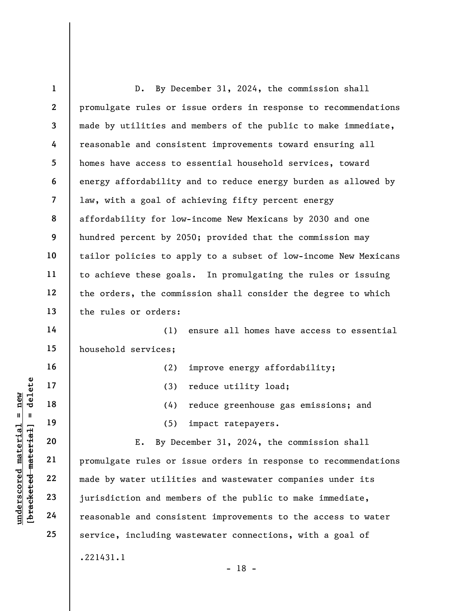underscored material material material material material contractions of the same of the same of the same of the same of the same of the same of the same of the same of the same of the same of the same of the same of the s 1 2 3 4 5 6 7 8 9 10 11 12 13 14 15 16 17 18 19 20 21 22 23 24 25 D. By December 31, 2024, the commission shall promulgate rules or issue orders in response to recommendations made by utilities and members of the public to make immediate, reasonable and consistent improvements toward ensuring all homes have access to essential household services, toward energy affordability and to reduce energy burden as allowed by law, with a goal of achieving fifty percent energy affordability for low-income New Mexicans by 2030 and one hundred percent by 2050; provided that the commission may tailor policies to apply to a subset of low-income New Mexicans to achieve these goals. In promulgating the rules or issuing the orders, the commission shall consider the degree to which the rules or orders: (1) ensure all homes have access to essential household services; (2) improve energy affordability; (3) reduce utility load; (4) reduce greenhouse gas emissions; and (5) impact ratepayers. E. By December 31, 2024, the commission shall promulgate rules or issue orders in response to recommendations made by water utilities and wastewater companies under its jurisdiction and members of the public to make immediate, reasonable and consistent improvements to the access to water service, including wastewater connections, with a goal of .221431.1

- 18 -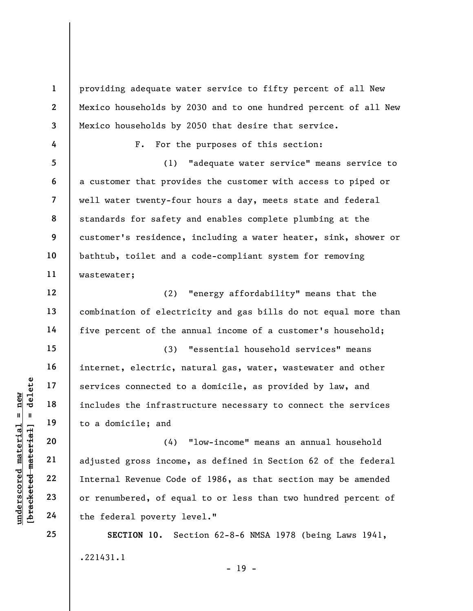1 2 3 4 5 6 7 8 9 10 11 12 providing adequate water service to fifty percent of all New Mexico households by 2030 and to one hundred percent of all New Mexico households by 2050 that desire that service. F. For the purposes of this section: (1) "adequate water service" means service to a customer that provides the customer with access to piped or well water twenty-four hours a day, meets state and federal standards for safety and enables complete plumbing at the customer's residence, including a water heater, sink, shower or bathtub, toilet and a code-compliant system for removing wastewater;

(2) "energy affordability" means that the combination of electricity and gas bills do not equal more than five percent of the annual income of a customer's household;

(3) "essential household services" means internet, electric, natural gas, water, wastewater and other services connected to a domicile, as provided by law, and includes the infrastructure necessary to connect the services to a domicile; and

understand material services connected to<br>
includes the infrastr<br>
includes the infrastr<br>
to a domicile; and<br>  $20$ <br>  $21$ <br>
adjusted gross income<br>
22<br>
Internal Revenue Code<br>  $22$ <br>  $23$ <br>
or renumbered, of equ<br>  $24$ <br>
the federa (4) "low-income" means an annual household adjusted gross income, as defined in Section 62 of the federal Internal Revenue Code of 1986, as that section may be amended or renumbered, of equal to or less than two hundred percent of the federal poverty level."

> SECTION 10. Section 62-8-6 NMSA 1978 (being Laws 1941, .221431.1 - 19 -

13

14

15

16

17

18

19

20

21

22

23

24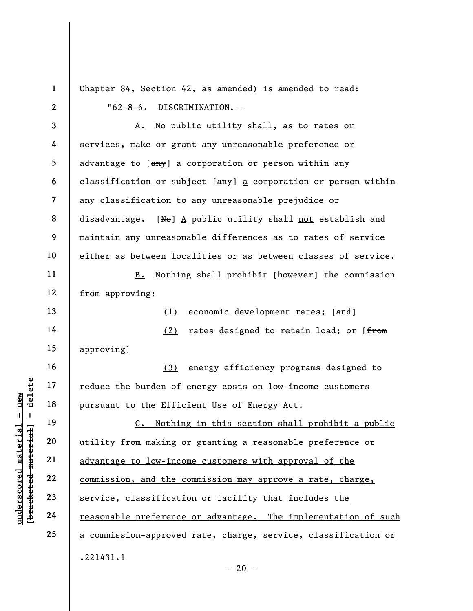1 2 3 4 5 6 7 8 Chapter 84, Section 42, as amended) is amended to read: "62-8-6. DISCRIMINATION.-- A. No public utility shall, as to rates or services, make or grant any unreasonable preference or advantage to [any] a corporation or person within any classification or subject  $[\frac{any}{2}]$  a corporation or person within any classification to any unreasonable prejudice or disadvantage. [No]  $\underline{A}$  public utility shall not establish and

maintain any unreasonable differences as to rates of service either as between localities or as between classes of service.

B. Nothing shall prohibit [however] the commission from approving:

(1) economic development rates; [and]

14 15 (2) rates designed to retain load; or [from approving]

(3) energy efficiency programs designed to reduce the burden of energy costs on low-income customers pursuant to the Efficient Use of Energy Act.

underscored material = new [bracketed material] = delete C. Nothing in this section shall prohibit a public utility from making or granting a reasonable preference or advantage to low-income customers with approval of the commission, and the commission may approve a rate, charge, service, classification or facility that includes the reasonable preference or advantage. The implementation of such a commission-approved rate, charge, service, classification or .221431.1

9

10

11

12

13

16

17

18

19

20

21

22

23

24